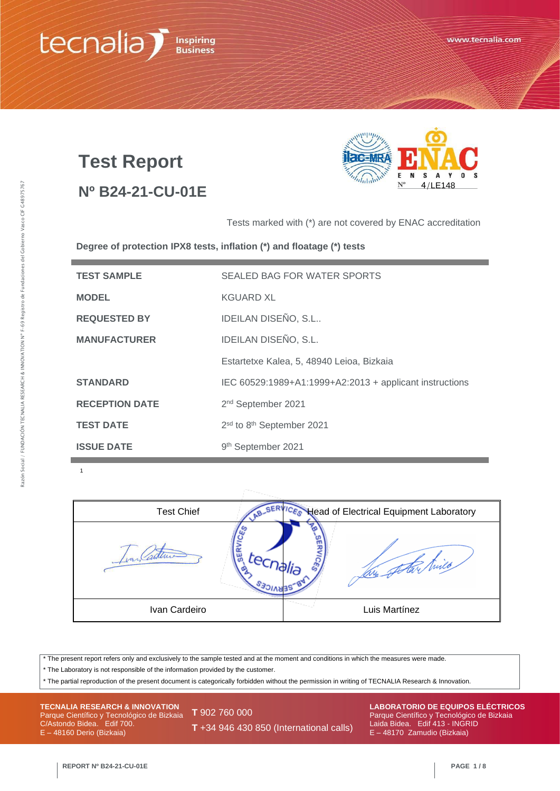# tecnalia **Inspiring**<br>**Business**

# **Test Report**

# **Nº B24-21-CU-01E**



Tests marked with (\*) are not covered by ENAC accreditation

**Degree of protection IPX8 tests, inflation (\*) and floatage (\*) tests**

| <b>TEST SAMPLE</b>    | SEALED BAG FOR WATER SPORTS                             |
|-----------------------|---------------------------------------------------------|
| <b>MODEL</b>          | KGUARD XL                                               |
| <b>REQUESTED BY</b>   | IDEILAN DISEÑO, S.L                                     |
| <b>MANUFACTURER</b>   | IDEILAN DISEÑO, S.L.                                    |
|                       | Estartetxe Kalea, 5, 48940 Leioa, Bizkaia               |
| <b>STANDARD</b>       | IEC 60529:1989+A1:1999+A2:2013 + applicant instructions |
| <b>RECEPTION DATE</b> | 2 <sup>nd</sup> September 2021                          |
| <b>TEST DATE</b>      | 2sd to 8th September 2021                               |
| <b>ISSUE DATE</b>     | 9th September 2021                                      |

1

| <b>Test Chief</b> | <b>ICES</b> Head of Electrical Equipment Laboratory |
|-------------------|-----------------------------------------------------|
| in.               | ్తి                                                 |
| Ivan Cardeiro     | Luis Martínez                                       |

\* The present report refers only and exclusively to the sample tested and at the moment and conditions in which the measures were made.

\* The Laboratory is not responsible of the information provided by the customer.

\* The partial reproduction of the present document is categorically forbidden without the permission in writing of TECNALIA Research & Innovation.

**TECNALIA RESEARCH & INNOVATION** Parque Científico y Tecnológico de Bizkaia C/Astondo Bidea. Edif 700. E – 48160 Derio (Bizkaia)

**T** 902 760 000

**T** +34 946 430 850 (International calls)

**LABORATORIO DE EQUIPOS ELÉCTRICOS** Parque Científico y Tecnológico de Bizkaia Laida Bidea. Edif 413 - INGRID E – 48170 Zamudio (Bizkaia)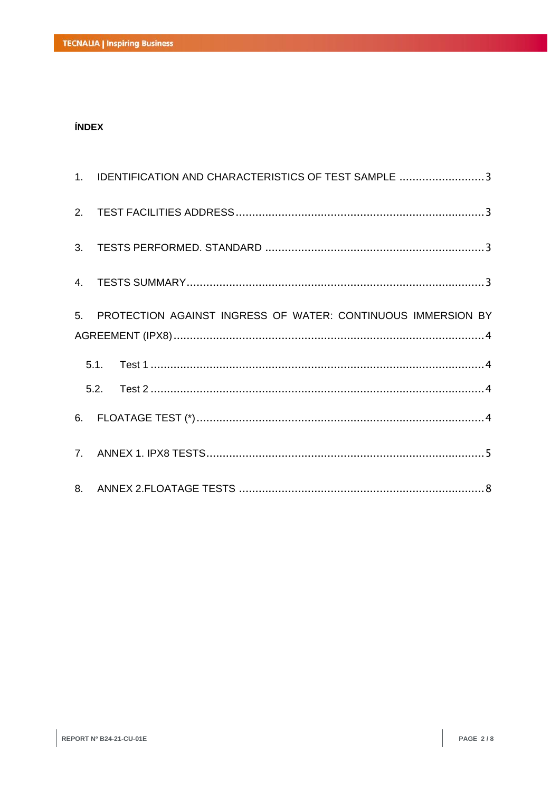## **ÍNDEX**

| 1. IDENTIFICATION AND CHARACTERISTICS OF TEST SAMPLE 3          |
|-----------------------------------------------------------------|
|                                                                 |
|                                                                 |
|                                                                 |
| 5. PROTECTION AGAINST INGRESS OF WATER: CONTINUOUS IMMERSION BY |
|                                                                 |
|                                                                 |
|                                                                 |
|                                                                 |
|                                                                 |
|                                                                 |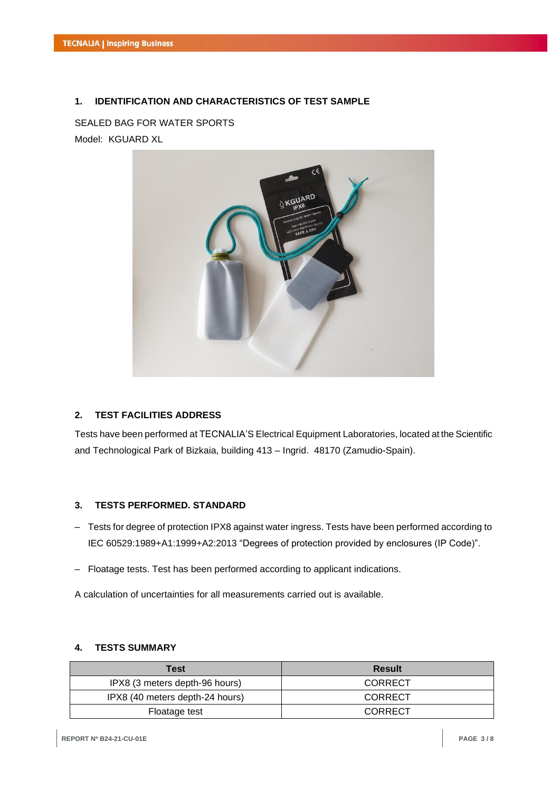#### **1. IDENTIFICATION AND CHARACTERISTICS OF TEST SAMPLE**

# SEALED BAG FOR WATER SPORTS Model: KGUARD XL



#### **2. TEST FACILITIES ADDRESS**

Tests have been performed at TECNALIA'S Electrical Equipment Laboratories, located at the Scientific and Technological Park of Bizkaia, building 413 – Ingrid. 48170 (Zamudio-Spain).

#### **3. TESTS PERFORMED. STANDARD**

- Tests for degree of protection IPX8 against water ingress. Tests have been performed according to IEC 60529:1989+A1:1999+A2:2013 "Degrees of protection provided by enclosures (IP Code)".
- Floatage tests. Test has been performed according to applicant indications.

A calculation of uncertainties for all measurements carried out is available.

## **4. TESTS SUMMARY**

| Test                            | Result  |
|---------------------------------|---------|
| IPX8 (3 meters depth-96 hours)  | CORRECT |
| IPX8 (40 meters depth-24 hours) | CORRECT |
| Floatage test                   | CORRECT |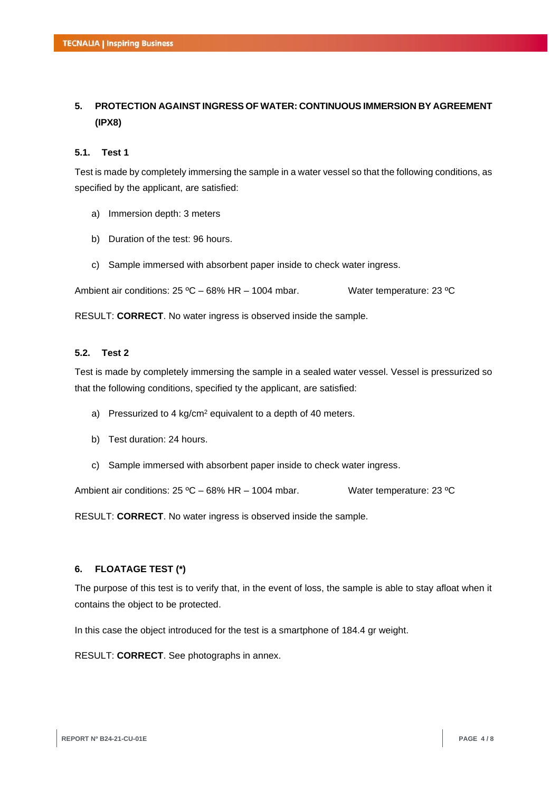# **5. PROTECTION AGAINST INGRESS OF WATER: CONTINUOUS IMMERSION BY AGREEMENT (IPX8)**

#### **5.1. Test 1**

Test is made by completely immersing the sample in a water vessel so that the following conditions, as specified by the applicant, are satisfied:

- a) Immersion depth: 3 meters
- b) Duration of the test: 96 hours.
- c) Sample immersed with absorbent paper inside to check water ingress.

Ambient air conditions: 25 °C – 68% HR – 1004 mbar. Water temperature: 23 °C

RESULT: **CORRECT**. No water ingress is observed inside the sample.

#### **5.2. Test 2**

Test is made by completely immersing the sample in a sealed water vessel. Vessel is pressurized so that the following conditions, specified ty the applicant, are satisfied:

- a) Pressurized to 4 kg/cm<sup>2</sup> equivalent to a depth of 40 meters.
- b) Test duration: 24 hours.
- c) Sample immersed with absorbent paper inside to check water ingress.

Ambient air conditions: 25 °C – 68% HR – 1004 mbar. Water temperature: 23 °C

RESULT: **CORRECT**. No water ingress is observed inside the sample.

#### **6. FLOATAGE TEST (\*)**

The purpose of this test is to verify that, in the event of loss, the sample is able to stay afloat when it contains the object to be protected.

In this case the object introduced for the test is a smartphone of 184.4 gr weight.

RESULT: **CORRECT**. See photographs in annex.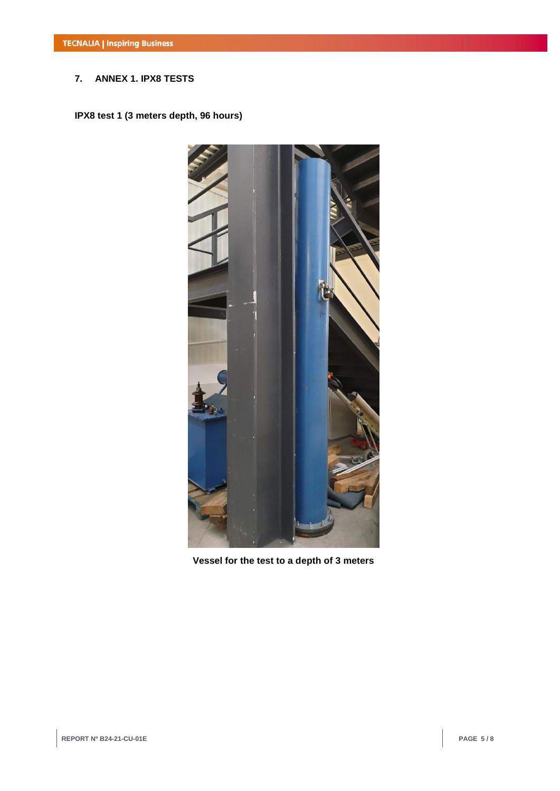# **7. ANNEX 1. IPX8 TESTS**

**IPX8 test 1 (3 meters depth, 96 hours)**

![](_page_4_Picture_3.jpeg)

**Vessel for the test to a depth of 3 meters**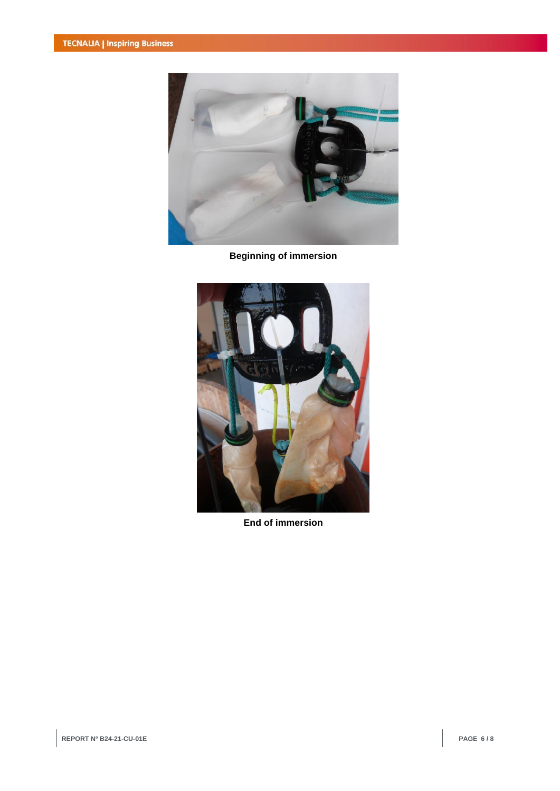![](_page_5_Picture_1.jpeg)

**Beginning of immersion**

![](_page_5_Picture_3.jpeg)

**End of immersion**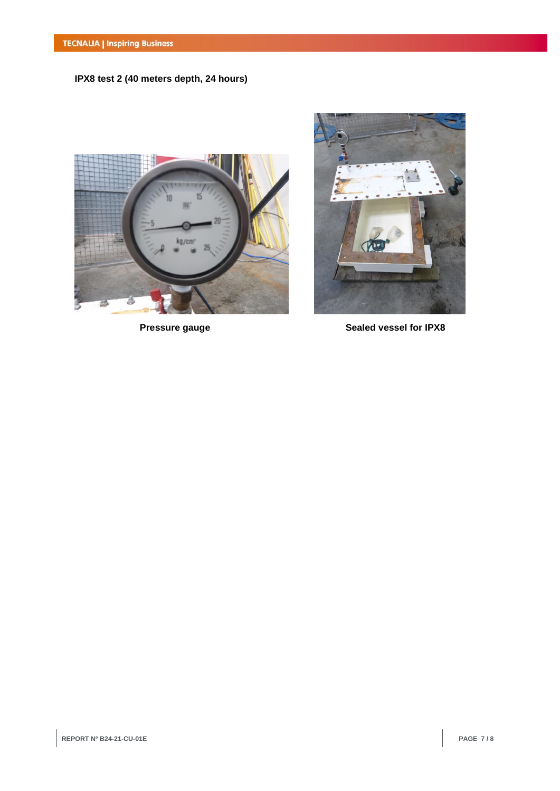**IPX8 test 2 (40 meters depth, 24 hours)**

![](_page_6_Picture_2.jpeg)

![](_page_6_Picture_4.jpeg)

**Pressure gauge Sealed vessel for IPX8**